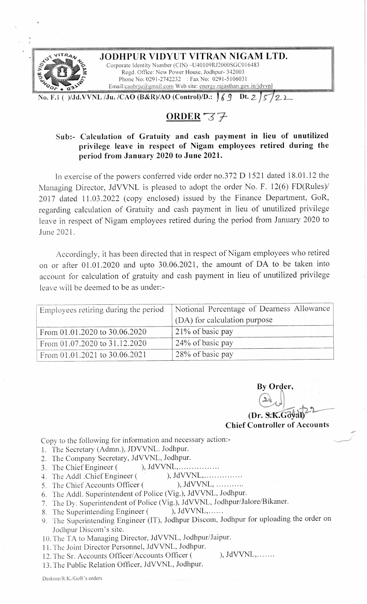

## **.,., ~"~ "'TR4,\, ~ JODHPUR VIDYUT VITRAN NIGAM LTD.**  Corporate Identity Number (CIN) -U40109RJ2000SGC016483

**SEPTER AND AND SEPTER AND SEPTER AND SEPTER AND SEPTER AND SEPTER AND SEPTER AND SEPTER AND SEPTEMBER 2003 SGC016483**<br>
Regd. Office: New Power House, Jodhpur- 342003<br>
Phone No: 0291-2742232 : Fax No: 0291-5106031 Regd. Office: New Power House, Jodhpur- 342003 Phone No: 0291-2742232 : Fax No: 0291-5106031 Email:caobrju@gmail.com Web site: energy.rajasthan.gov.in/jdvvnl

**No. F.1 ( )/Jd.VVNL /Ju. /CAO (B&R)/AO (Control)/D.: Ji \_9 Dt.** *Z J s-J 2...* **L** 

## **ORDER-Z7-**

## Sub:- Calculation of Gratuity and cash payment in lieu of unutilized privilege leave in respect of Nigam employees retired during the **period from January 2020 to June 2021.**

In exercise of the powers conferred vide order no.372 D 1521 dated 18.01.12 the Managing Director, JdVVNL is pleased to adopt the order No. F. 12(6) FD(Rules)/ 2017 dated 11.03.2022 (copy enclosed) issued by the Finance Department, GoR, regarding calculation of Gratuity and cash payment in lieu of unutilized privilege leave in respect of Nigam employees retired during the period from January 2020 to June 2021.

Accordingly, it has been directed that in respect of Nigam employees who retired on or after 01.01.2020 and upto 30.06.2021, the amount of DA to be taken into account for calculation of gratuity and cash payment in lieu of unutilized privilege leave will be deemed to be as under:-

| Employees retiring during the period | Notional Percentage of Dearness Allowance |
|--------------------------------------|-------------------------------------------|
|                                      | (DA) for calculation purpose              |
| From 01.01.2020 to 30.06.2020        | 21% of basic pay                          |
| From 01.07.2020 to 31.12.2020        | 24% of basic pay                          |
| From 01.01.2021 to 30.06.2021        | 28% of basic pay                          |

**By Order,**  (Dr. S.K.Göval) By Order,<br>
(Dr. S.K.Goyal)<br>
Chief Controller of Accounts

 $-5$ 

Copy to the following for information and necessary action:-

- 1. The Secretary (Adrnn.), JDVVNL. Jodhpur.
- 2. The Company Secretary, JdVVNL, Jodhpur.
- 3. The Chief Engineer ( ), JdVVNL, ... ... ... ........
- 4. The Addl .Chief Engineer ( · ), JdVVNL, .
- 5. The Chief Accounts Officer ( ), JdVVNL, ............
- 6. The Addl. Superintendent of Police (Vig.), JdVVNL, Jodhpur.
- 7. The Dy. Superintendent of Police (Vig.), JdVVNL, Jodhpur/Jalore/Bikaner.<br>8. The Superintending Engineer (), JdVVNL,......
- 8. The Superintending Engineer (
- 9. The Superintending Engineer (IT), Jodhpur Discom, Jodhpur for uploading the order on Jodhpur Discom's site.
- 10. The TA to Managing Director, JdVVNL, Jodhpur/Jaipur.
- 11. The Joint Director Personnel, JdVVNL, Jodhpur.
- 12. The Sr. Accounts Officer/Accounts Officer ( ), JdVVNL,.......
- 13. The Public Relation Officer, JdVVNL, Jodhpur.

Desktop/R.K./GoR 's orders